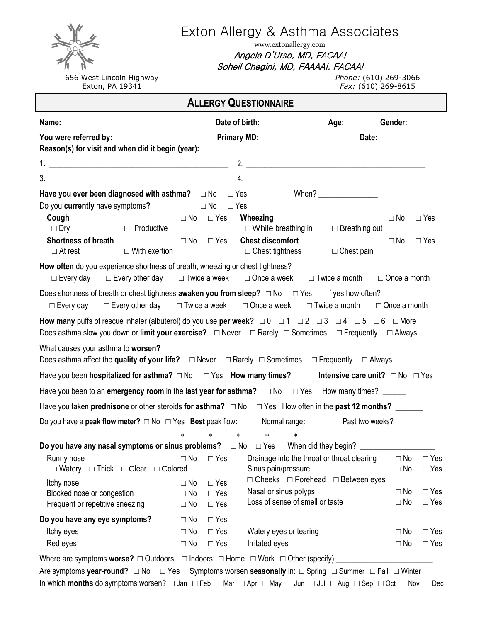656 West Lincoln Highway Exton, PA 19341

# Exton Allergy & Asthma Associates

www.extonallergy.com Angela D'Urso, MD, FACAAI Soheil Chegini, MD, FAAAAI, FACAAI

*Phone:* (610) 269-3066 *Fax:* (610) 269-8615

**ALLERGY QUESTIONNAIRE Name:** \_\_\_\_\_\_\_\_\_\_\_\_\_\_\_\_\_\_\_\_\_\_\_\_\_\_\_\_\_\_\_\_\_\_\_\_\_\_\_\_\_ **Date of birth:** \_\_\_\_\_\_\_\_\_\_\_\_\_\_\_\_\_ **Age:** \_\_\_\_\_\_\_\_ **Gender:** \_\_\_\_\_\_\_ **You were referred by:** \_\_\_\_\_\_\_\_\_\_\_\_\_\_\_\_\_\_\_\_\_\_\_\_\_\_\_ **Primary MD:** \_\_\_\_\_\_\_\_\_\_\_\_\_\_\_\_\_\_\_\_\_\_\_\_\_\_ **Date:** \_\_\_\_\_\_\_\_\_\_\_\_\_\_\_ **Reason(s) for visit and when did it begin (year):** 1. \_\_\_\_\_\_\_\_\_\_\_\_\_\_\_\_\_\_\_\_\_\_\_\_\_\_\_\_\_\_\_\_\_\_\_\_\_\_\_\_\_\_\_\_\_\_\_\_\_\_ 2. \_\_\_\_\_\_\_\_\_\_\_\_\_\_\_\_\_\_\_\_\_\_\_\_\_\_\_\_\_\_\_\_\_\_\_\_\_\_\_\_\_\_\_\_\_\_\_\_\_\_ 3. \_\_\_\_\_\_\_\_\_\_\_\_\_\_\_\_\_\_\_\_\_\_\_\_\_\_\_\_\_\_\_\_\_\_\_\_\_\_\_\_\_\_\_\_\_\_\_\_\_\_ 4. \_\_\_\_\_\_\_\_\_\_\_\_\_\_\_\_\_\_\_\_\_\_\_\_\_\_\_\_\_\_\_\_\_\_\_\_\_\_\_\_\_\_\_\_\_\_\_\_\_\_ Have you ever been diagnosed with asthma? □ No □ Yes When? \_\_\_\_\_\_\_\_\_\_\_\_\_\_\_\_\_\_\_\_\_ Do you **currently** have symptoms**?** □ No □ Yes **Cough** □ No □ Yes □ Dry □ Productive **Shortness of breath** □ At rest □ With exertion **Wheezing** □ No □ Yes  $\square$  While breathing in  $\square$  Breathing out **Chest discomfort** □ No □ Yes  $\Box$  Chest tightness  $\Box$  Chest pain **How often** do you experience shortness of breath, wheezing or chest tightness? □ Every day □ Every other day □ Twice a week □ Once a week □ Twice a month □ Once a month Does shortness of breath or chest tightness **awaken you from sleep**? □ No □ Yes If yes how often? □ Every day □ Every other day □ Twice a week □ Once a week □ Twice a month □ Once a month How many puffs of rescue inhaler (albuterol) do you use per week?  $\Box$  0  $\Box$  1  $\Box$  2  $\Box$  3  $\Box$  4  $\Box$  5  $\Box$  6  $\Box$  More Does asthma slow you down or **limit your exercise? □** Never **□** Rarely **□** Sometimes **□** Frequently **□** Always What causes your asthma to **worsen?** Does asthma affect the **quality of your life? □** Never **□** Rarely **□** Sometimes **□** Frequently **□** Always Have you been **hospitalized for asthma?** □ No □ Yes **How many times?** \_\_\_\_\_ Intensive care unit? □ No □ Yes Have you been to an **emergency room** in the **last year for asthma?** □ No □ Yes How many times? Have you taken **prednisone** or other steroids **for asthma? □** No **□** Yes How often in the **past 12 months?** \_\_\_\_\_\_\_ Do you have a **peak flow meter? □** No **□** Yes **Best** peak flow**:** \_\_\_\_\_ Normal range**:** \_\_\_\_\_\_\_\_ Past two weeks? \_\_\_\_\_\_\_\_ \* \* \* \* \* **Do you have any nasal symptoms or sinus problems?** □ No □ Yes When did they begin? Runny nose □ No □ Yes □ Watery □ Thick □ Clear □ Colored Itchy nose □ No □ Yes Blocked nose or congestion  $\Box$  No  $\Box$  Yes Frequent or repetitive sneezing  $\Box$  No  $\Box$  Yes Drainage into the throat or throat clearing  $□$  No  $□$  Yes Sinus pain/pressure □ □ No □ Yes □ Cheeks □ Forehead □ Between eyes Nasal or sinus polyps □ □ No □ Yes Loss of sense of smell or taste □ □ No □ Yes **Do you have any eye symptoms?** □ No □ Yes Itchy eyes □ No □ Yes Red eyes  $\Box$  No  $\Box$  Yes Watery eyes or tearing □ □ No □ Yes Irritated eyes Yes Where are symptoms **worse?** □ Outdoors □ Indoors: □ Home □ Work □ Other (specify) Are symptoms **year-round?** □ No □ Yes Symptoms worsen **seasonally** in: □ Spring □ Summer □ Fall □ Winter

In which **months** do symptoms worsen?□ Jan □ Feb □ Mar □ Apr □ May □ Jun □ Jul □ Aug □ Sep □ Oct □ Nov □ Dec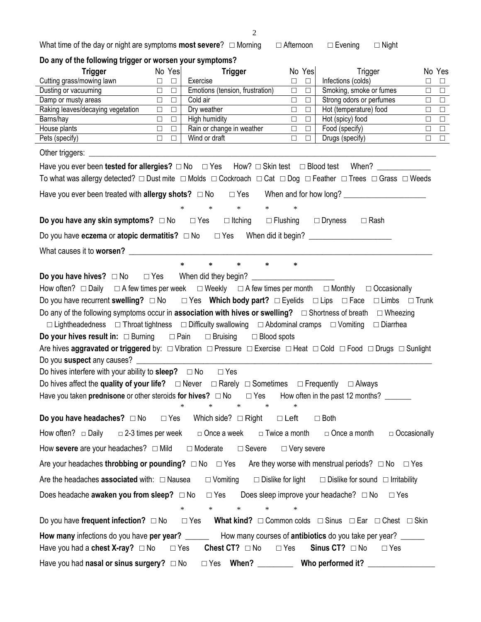What time of the day or night are symptoms **most severe**? □ Morning □ Afternoon □ Evening □ Night

| Do any of the following trigger or worsen your symptoms?                                                                                                                                                                                                                                                                                                                                                                                                                                                                                                                                                                                                                                                                                                                                                                                                                                                                                                                                                                                                                                                              |                                                              |                                       |                                                              |                                                                                       |                     |                  |
|-----------------------------------------------------------------------------------------------------------------------------------------------------------------------------------------------------------------------------------------------------------------------------------------------------------------------------------------------------------------------------------------------------------------------------------------------------------------------------------------------------------------------------------------------------------------------------------------------------------------------------------------------------------------------------------------------------------------------------------------------------------------------------------------------------------------------------------------------------------------------------------------------------------------------------------------------------------------------------------------------------------------------------------------------------------------------------------------------------------------------|--------------------------------------------------------------|---------------------------------------|--------------------------------------------------------------|---------------------------------------------------------------------------------------|---------------------|------------------|
| <b>Trigger</b>                                                                                                                                                                                                                                                                                                                                                                                                                                                                                                                                                                                                                                                                                                                                                                                                                                                                                                                                                                                                                                                                                                        | No Yes                                                       | <b>Trigger</b>                        | No Yes                                                       | Trigger                                                                               | No Yes              |                  |
| Cutting grass/mowing lawn                                                                                                                                                                                                                                                                                                                                                                                                                                                                                                                                                                                                                                                                                                                                                                                                                                                                                                                                                                                                                                                                                             | $\begin{array}{ccc} \square & \square & \square \end{array}$ | Exercise                              | $\begin{array}{ccc} & \square & \square \end{array}$         | Infections (colds)                                                                    | $\Box$              | $\Box$           |
| Dusting or vacuuming                                                                                                                                                                                                                                                                                                                                                                                                                                                                                                                                                                                                                                                                                                                                                                                                                                                                                                                                                                                                                                                                                                  | $\Box$ . $\Box$<br>$\Box$ $\Box$                             | Emotions (tension, frustration)       | $\Box$<br>$\Box$<br>$\Box$                                   | Smoking, smoke or fumes                                                               | $\Box$              | $\Box$           |
| Damp or musty areas<br>Raking leaves/decaying vegetation                                                                                                                                                                                                                                                                                                                                                                                                                                                                                                                                                                                                                                                                                                                                                                                                                                                                                                                                                                                                                                                              | $\Box$ $\Box$                                                | Cold air<br>Dry weather               | $\Box$<br>$\Box$<br>$\Box$                                   | Strong odors or perfumes<br>Hot (temperature) food                                    | $\Box$<br>$\Box$    | $\Box$<br>$\Box$ |
| Barns/hay                                                                                                                                                                                                                                                                                                                                                                                                                                                                                                                                                                                                                                                                                                                                                                                                                                                                                                                                                                                                                                                                                                             | $\begin{array}{ccc} \square & \square & \square \end{array}$ | High humidity                         | $\begin{array}{ccc} \square & \square & \square \end{array}$ | Hot (spicy) food                                                                      | $\Box$              | $\Box$           |
| House plants                                                                                                                                                                                                                                                                                                                                                                                                                                                                                                                                                                                                                                                                                                                                                                                                                                                                                                                                                                                                                                                                                                          | $\begin{array}{ccc} \square & \square & \square \end{array}$ | Rain or change in weather             | $\Box$ $\Box$                                                | Food (specify)                                                                        | $\Box$              | $\Box$           |
| Pets (specify)                                                                                                                                                                                                                                                                                                                                                                                                                                                                                                                                                                                                                                                                                                                                                                                                                                                                                                                                                                                                                                                                                                        | $\begin{array}{ccc} \square & \square & \square \end{array}$ | Wind or draft                         | $\Box$<br>$\Box$                                             | Drugs (specify)                                                                       | $\Box$ $\Box$       |                  |
|                                                                                                                                                                                                                                                                                                                                                                                                                                                                                                                                                                                                                                                                                                                                                                                                                                                                                                                                                                                                                                                                                                                       |                                                              |                                       |                                                              |                                                                                       |                     |                  |
|                                                                                                                                                                                                                                                                                                                                                                                                                                                                                                                                                                                                                                                                                                                                                                                                                                                                                                                                                                                                                                                                                                                       |                                                              |                                       |                                                              |                                                                                       |                     |                  |
| To what was allergy detected? □ Dust mite □ Molds □ Cockroach □ Cat □ Dog □ Feather □ Trees □ Grass □ Weeds                                                                                                                                                                                                                                                                                                                                                                                                                                                                                                                                                                                                                                                                                                                                                                                                                                                                                                                                                                                                           |                                                              |                                       |                                                              |                                                                                       |                     |                  |
|                                                                                                                                                                                                                                                                                                                                                                                                                                                                                                                                                                                                                                                                                                                                                                                                                                                                                                                                                                                                                                                                                                                       |                                                              |                                       |                                                              |                                                                                       |                     |                  |
|                                                                                                                                                                                                                                                                                                                                                                                                                                                                                                                                                                                                                                                                                                                                                                                                                                                                                                                                                                                                                                                                                                                       |                                                              | $*$ * *<br>$*$ and $*$                | $\ast$                                                       |                                                                                       |                     |                  |
| <b>Do you have any skin symptoms?</b> □ No □ Yes □ Itching □ Flushing □ Dryness □ Rash                                                                                                                                                                                                                                                                                                                                                                                                                                                                                                                                                                                                                                                                                                                                                                                                                                                                                                                                                                                                                                |                                                              |                                       |                                                              |                                                                                       |                     |                  |
| Do you have eczema or atopic dermatitis? $\Box$ No $\Box$ Yes When did it begin? ______________________                                                                                                                                                                                                                                                                                                                                                                                                                                                                                                                                                                                                                                                                                                                                                                                                                                                                                                                                                                                                               |                                                              |                                       |                                                              |                                                                                       |                     |                  |
|                                                                                                                                                                                                                                                                                                                                                                                                                                                                                                                                                                                                                                                                                                                                                                                                                                                                                                                                                                                                                                                                                                                       |                                                              |                                       |                                                              |                                                                                       |                     |                  |
| Do you have hives? $\Box$ No $\Box$ Yes When did they begin?<br>How often? $\Box$ Daily $\Box$ A few times per week $\Box$ Weekly $\Box$ A few times per month $\Box$ Monthly $\Box$ Occasionally<br>Do you have recurrent swelling? $\Box$ No $\Box$ Yes Which body part? $\Box$ Eyelids $\Box$ Lips $\Box$ Face $\Box$ Limbs $\Box$ Trunk<br>Do any of the following symptoms occur in association with hives or swelling? $\Box$ Shortness of breath $\Box$ Wheezing<br>$\Box$ Lightheadedness $\Box$ Throat tightness $\Box$ Difficulty swallowing $\Box$ Abdominal cramps $\Box$ Vomiting $\Box$ Diarrhea<br><b>Do your hives result in:</b> $\Box$ Burning $\Box$ Pain $\Box$ Bruising $\Box$ Blood spots<br>Are hives aggravated or triggered by: $\Box$ Vibration $\Box$ Pressure $\Box$ Exercise $\Box$ Heat $\Box$ Cold $\Box$ Food $\Box$ Drugs $\Box$ Sunlight<br>Do you suspect any causes? ____________<br>Do hives interfere with your ability to sleep? $\Box$ No $\Box$ Yes<br>Do hives affect the quality of your life? $\Box$ Never $\Box$ Rarely $\Box$ Sometimes $\Box$ Frequently $\Box$ Always |                                                              |                                       |                                                              |                                                                                       |                     |                  |
| Have you taken prednisone or other steroids for hives? $\Box$ No $\Box$ Yes How often in the past 12 months? ______                                                                                                                                                                                                                                                                                                                                                                                                                                                                                                                                                                                                                                                                                                                                                                                                                                                                                                                                                                                                   |                                                              |                                       |                                                              |                                                                                       |                     |                  |
| <b>Do you have headaches?</b> $\Box$ No $\Box$ Yes Which side? $\Box$ Right                                                                                                                                                                                                                                                                                                                                                                                                                                                                                                                                                                                                                                                                                                                                                                                                                                                                                                                                                                                                                                           |                                                              |                                       | $\Box$ Left                                                  | $\Box$ Both                                                                           |                     |                  |
| How often? □ Daily                                                                                                                                                                                                                                                                                                                                                                                                                                                                                                                                                                                                                                                                                                                                                                                                                                                                                                                                                                                                                                                                                                    | $\Box$ 2-3 times per week                                    | □ Once a week                         | □ Twice a month                                              | □ Once a month                                                                        | $\Box$ Occasionally |                  |
| How severe are your headaches? □ Mild □ Moderate □ Severe                                                                                                                                                                                                                                                                                                                                                                                                                                                                                                                                                                                                                                                                                                                                                                                                                                                                                                                                                                                                                                                             |                                                              |                                       | $\Box$ Very severe                                           |                                                                                       |                     |                  |
| Are your headaches throbbing or pounding? $\Box$ No $\Box$ Yes Are they worse with menstrual periods? $\Box$ No $\Box$ Yes                                                                                                                                                                                                                                                                                                                                                                                                                                                                                                                                                                                                                                                                                                                                                                                                                                                                                                                                                                                            |                                                              |                                       |                                                              |                                                                                       |                     |                  |
| Are the headaches <b>associated</b> with: $\Box$ Nausea                                                                                                                                                                                                                                                                                                                                                                                                                                                                                                                                                                                                                                                                                                                                                                                                                                                                                                                                                                                                                                                               |                                                              |                                       |                                                              | $\Box$ Vomiting $\Box$ Dislike for light $\Box$ Dislike for sound $\Box$ Irritability |                     |                  |
| Does headache <b>awaken you from sleep?</b> $\Box$ No $\Box$ Yes Does sleep improve your headache? $\Box$ No                                                                                                                                                                                                                                                                                                                                                                                                                                                                                                                                                                                                                                                                                                                                                                                                                                                                                                                                                                                                          |                                                              |                                       |                                                              | $\Box$ Yes                                                                            |                     |                  |
|                                                                                                                                                                                                                                                                                                                                                                                                                                                                                                                                                                                                                                                                                                                                                                                                                                                                                                                                                                                                                                                                                                                       | $\ast$                                                       | $\ast$<br>$\ast$                      |                                                              |                                                                                       |                     |                  |
| Do you have frequent infection? $\Box$ No                                                                                                                                                                                                                                                                                                                                                                                                                                                                                                                                                                                                                                                                                                                                                                                                                                                                                                                                                                                                                                                                             |                                                              | $\Box$ Yes                            |                                                              | What kind? $\Box$ Common colds $\Box$ Sinus $\Box$ Ear $\Box$ Chest $\Box$ Skin       |                     |                  |
| How many infections do you have per year? ________ How many courses of antibiotics do you take per year?                                                                                                                                                                                                                                                                                                                                                                                                                                                                                                                                                                                                                                                                                                                                                                                                                                                                                                                                                                                                              |                                                              |                                       |                                                              |                                                                                       |                     |                  |
| Have you had a <b>chest X-ray?</b> □ No                                                                                                                                                                                                                                                                                                                                                                                                                                                                                                                                                                                                                                                                                                                                                                                                                                                                                                                                                                                                                                                                               |                                                              | $\Box$ Yes <b>Chest CT?</b> $\Box$ No | $\Box$ Yes                                                   | Sinus CT? $\Box$ No<br>$\Box$ Yes                                                     |                     |                  |
| Have you had nasal or sinus surgery? $\Box$ No $\Box$ Yes When? ________                                                                                                                                                                                                                                                                                                                                                                                                                                                                                                                                                                                                                                                                                                                                                                                                                                                                                                                                                                                                                                              |                                                              |                                       |                                                              | Who performed it? ______________                                                      |                     |                  |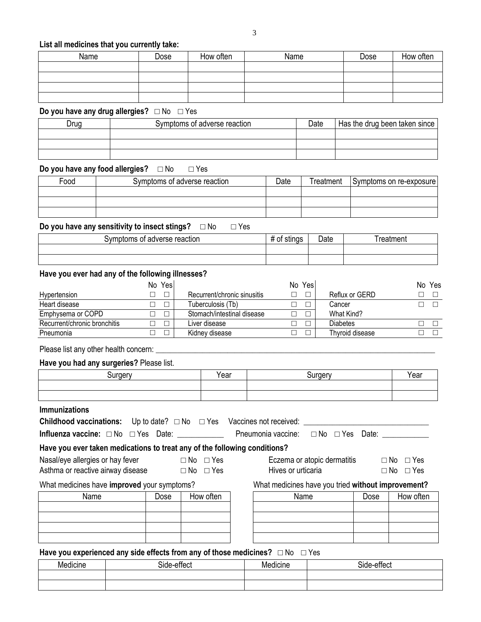#### **List all medicines that you currently take:**

| Name | Dose | How often | Name | Dose | How often |
|------|------|-----------|------|------|-----------|
|      |      |           |      |      |           |
|      |      |           |      |      |           |
|      |      |           |      |      |           |
|      |      |           |      |      |           |

#### **Do you have any drug allergies?** □ No □ Yes

| Druo . | Symptoms of adverse reaction | Date | Has the drug been taken since |
|--------|------------------------------|------|-------------------------------|
|        |                              |      |                               |
|        |                              |      |                               |
|        |                              |      |                               |

## **Do you have any food allergies?** □ No □ Yes

| Food | Symptoms of adverse reaction | Date | Treatment | Symptoms on re-exposure |
|------|------------------------------|------|-----------|-------------------------|
|      |                              |      |           |                         |
|      |                              |      |           |                         |
|      |                              |      |           |                         |

## **Do you have any sensitivity to insect stings?** □ No □ Yes

| t adverse reaction<br>Symptoms of | <i>.</i> .<br>้วแมนจ<br>π<br>וש | $\cup$ ate | reatment |
|-----------------------------------|---------------------------------|------------|----------|
|                                   |                                 |            |          |
|                                   |                                 |            |          |

#### **Have you ever had any of the following illnesses?**

|                              | No Yes |                             | No Yes |                 | No | Yes |
|------------------------------|--------|-----------------------------|--------|-----------------|----|-----|
| Hypertension                 |        | Recurrent/chronic sinusitis |        | Reflux or GERD  |    |     |
| Heart disease                |        | Tuberculosis (Tb)           |        | Cancer          |    |     |
| Emphysema or COPD            |        | Stomach/intestinal disease  |        | What Kind?      |    |     |
| Recurrent/chronic bronchitis |        | Liver disease               |        | Diabetes        |    |     |
| Pneumonia                    |        | Kidney disease              |        | Thyroid disease |    |     |

Please list any other health concern: \_\_\_\_\_\_\_\_\_\_\_\_\_\_\_\_\_\_\_\_\_\_\_\_\_\_\_\_\_\_\_\_\_\_\_\_\_\_\_\_\_\_\_\_\_\_\_\_\_\_\_\_\_\_\_\_\_\_\_\_\_\_\_\_\_\_\_\_\_\_\_\_\_\_\_\_\_\_

#### **Have you had any surgeries?** Please list.

| <b><i>Findery</i></b> | . .<br>Year | . | Year |
|-----------------------|-------------|---|------|
|                       |             |   |      |
|                       |             |   |      |

#### **Immunizations**

| <b>Childhood vaccinations:</b> Up to date? $\Box$ No $\Box$ Yes Vaccines not received: |  |                                               |  |  |
|----------------------------------------------------------------------------------------|--|-----------------------------------------------|--|--|
| Influenza vaccine: $\Box$ No $\Box$ Yes Date:                                          |  | Pneumonia vaccine: $\Box$ No $\Box$ Yes Date: |  |  |

#### **Have you ever taken medications to treat any of the following conditions?**

Nasal/eye allergies or hay fever  $□$  No  $□$  Yes

Asthma or reactive airway disease  $\Box$  No  $\Box$  Yes

What medicines have **improved** your symptoms?What medicines have you tried **without improvement?**

| Name | Dose | How often |
|------|------|-----------|
|      |      |           |
|      |      |           |
|      |      |           |
|      |      |           |

| Name | Dose | How often |  | Name | Dose | How often |  |
|------|------|-----------|--|------|------|-----------|--|
|      |      |           |  |      |      |           |  |
|      |      |           |  |      |      |           |  |
|      |      |           |  |      |      |           |  |
|      |      |           |  |      |      |           |  |
|      |      |           |  |      |      |           |  |

Eczema or atopic dermatitis  $\Box$  No  $\Box$  Yes Hives or urticaria □ □ No □ Yes

#### Have you experienced any side effects from any of those medicines?  $\Box$  No  $\Box$  Yes

| .<br>. .<br>Medicine | $\ddot{\phantom{0}}$<br>Side-effect | . .<br>. .<br>ledicine | <br>Side-effect |
|----------------------|-------------------------------------|------------------------|-----------------|
|                      |                                     |                        |                 |
|                      |                                     |                        |                 |